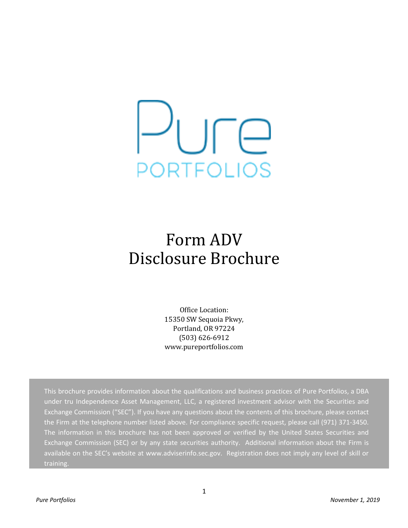

# Form ADV Disclosure Brochure

Office Location: 15350 SW Sequoia Pkwy, Portland, OR 97224 (503) 626-6912 www.pureportfolios.com

This brochure provides information about the qualifications and business practices of Pure Portfolios, a DBA under tru Independence Asset Management, LLC, a registered investment advisor with the Securities and Exchange Commission ("SEC"). If you have any questions about the contents of this brochure, please contact the Firm at the telephone number listed above. For compliance specific request, please call (971) 371-3450. The information in this brochure has not been approved or verified by the United States Securities and Exchange Commission (SEC) or by any state securities authority. Additional information about the Firm is available on the SEC's website at www.adviserinfo.sec.gov. Registration does not imply any level of skill or training.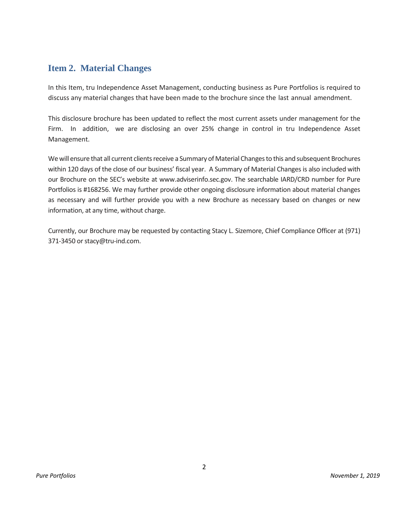## <span id="page-1-0"></span>**Item 2. Material Changes**

In this Item, tru Independence Asset Management, conducting business as Pure Portfolios is required to discuss any material changes that have been made to the brochure since the last annual amendment.

This disclosure brochure has been updated to reflect the most current assets under management for the Firm. In addition, we are disclosing an over 25% change in control in tru Independence Asset Management.

We will ensure that all current clients receive a Summary of Material Changes to this and subsequent Brochures within 120 days of the close of our business' fiscal year. A Summary of Material Changes is also included with our Brochure on the SEC's website at www.adviserinfo.sec.gov. The searchable IARD/CRD number for Pure Portfolios is #168256. We may further provide other ongoing disclosure information about material changes as necessary and will further provide you with a new Brochure as necessary based on changes or new information, at any time, without charge.

Currently, our Brochure may be requested by contacting Stacy L. Sizemore, Chief Compliance Officer at (971) 371-3450 or stacy@tru-ind.com.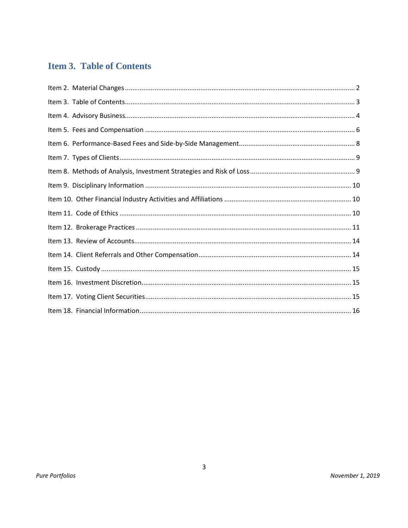## <span id="page-2-0"></span>**Item 3. Table of Contents**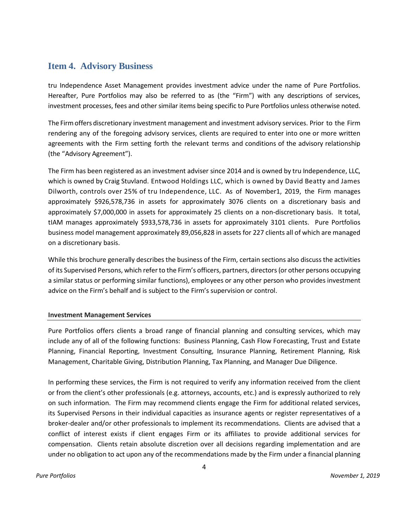## <span id="page-3-0"></span>**Item 4. Advisory Business**

tru Independence Asset Management provides investment advice under the name of Pure Portfolios. Hereafter, Pure Portfolios may also be referred to as (the "Firm") with any descriptions of services, investment processes, fees and other similar items being specific to Pure Portfolios unless otherwise noted.

The Firmoffers discretionary investment management and investment advisory services. Prior to the Firm rendering any of the foregoing advisory services, clients are required to enter into one or more written agreements with the Firm setting forth the relevant terms and conditions of the advisory relationship (the "Advisory Agreement").

The Firm has been registered as an investment adviser since 2014 and is owned by tru Independence, LLC, which is owned by Craig Stuvland. Entwood Holdings LLC, which is owned by David Beatty and James Dilworth, controls over 25% of tru Independence, LLC. As of November1, 2019, the Firm manages approximately \$926,578,736 in assets for approximately 3076 clients on a discretionary basis and approximately \$7,000,000 in assets for approximately 25 clients on a non-discretionary basis. It total, tIAM manages approximately \$933,578,736 in assets for approximately 3101 clients. Pure Portfolios business model management approximately 89,056,828 in assets for 227 clients all of which are managed on a discretionary basis.

While this brochure generally describes the business of the Firm, certain sections also discuss the activities of its Supervised Persons, which referto the Firm's officers, partners, directors(or other persons occupying a similar status or performing similar functions), employees or any other person who provides investment advice on the Firm's behalf and is subject to the Firm's supervision or control.

### **Investment Management Services**

Pure Portfolios offers clients a broad range of financial planning and consulting services, which may include any of all of the following functions: Business Planning, Cash Flow Forecasting, Trust and Estate Planning, Financial Reporting, Investment Consulting, Insurance Planning, Retirement Planning, Risk Management, Charitable Giving, Distribution Planning, Tax Planning, and Manager Due Diligence.

In performing these services, the Firm is not required to verify any information received from the client or from the client's other professionals (e.g. attorneys, accounts, etc.) and is expressly authorized to rely on such information. The Firm may recommend clients engage the Firm for additional related services, its Supervised Persons in their individual capacities as insurance agents or register representatives of a broker-dealer and/or other professionals to implement its recommendations. Clients are advised that a conflict of interest exists if client engages Firm or its affiliates to provide additional services for compensation. Clients retain absolute discretion over all decisions regarding implementation and are under no obligation to act upon any of the recommendations made by the Firm under a financial planning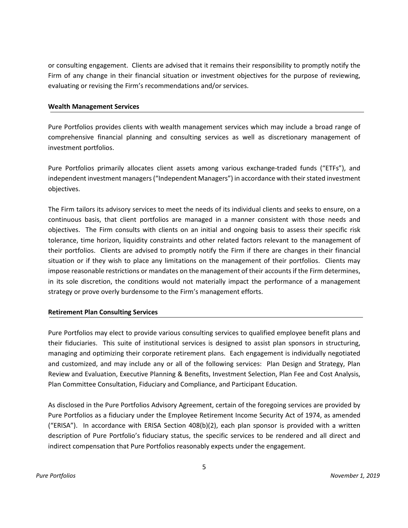or consulting engagement. Clients are advised that it remains their responsibility to promptly notify the Firm of any change in their financial situation or investment objectives for the purpose of reviewing, evaluating or revising the Firm's recommendations and/or services.

#### **Wealth Management Services**

Pure Portfolios provides clients with wealth management services which may include a broad range of comprehensive financial planning and consulting services as well as discretionary management of investment portfolios.

Pure Portfolios primarily allocates client assets among various exchange-traded funds ("ETFs"), and independent investment managers ("Independent Managers") in accordance with their stated investment objectives.

The Firm tailors its advisory services to meet the needs of its individual clients and seeks to ensure, on a continuous basis, that client portfolios are managed in a manner consistent with those needs and objectives. The Firm consults with clients on an initial and ongoing basis to assess their specific risk tolerance, time horizon, liquidity constraints and other related factors relevant to the management of their portfolios. Clients are advised to promptly notify the Firm if there are changes in their financial situation or if they wish to place any limitations on the management of their portfolios. Clients may impose reasonable restrictions or mandates on the management of their accounts if the Firm determines, in its sole discretion, the conditions would not materially impact the performance of a management strategy or prove overly burdensome to the Firm's management efforts.

### **Retirement Plan Consulting Services**

Pure Portfolios may elect to provide various consulting services to qualified employee benefit plans and their fiduciaries. This suite of institutional services is designed to assist plan sponsors in structuring, managing and optimizing their corporate retirement plans. Each engagement is individually negotiated and customized, and may include any or all of the following services: Plan Design and Strategy, Plan Review and Evaluation, Executive Planning & Benefits, Investment Selection, Plan Fee and Cost Analysis, Plan Committee Consultation, Fiduciary and Compliance, and Participant Education.

As disclosed in the Pure Portfolios Advisory Agreement, certain of the foregoing services are provided by Pure Portfolios as a fiduciary under the Employee Retirement Income Security Act of 1974, as amended ("ERISA"). In accordance with ERISA Section 408(b)(2), each plan sponsor is provided with a written description of Pure Portfolio's fiduciary status, the specific services to be rendered and all direct and indirect compensation that Pure Portfolios reasonably expects under the engagement.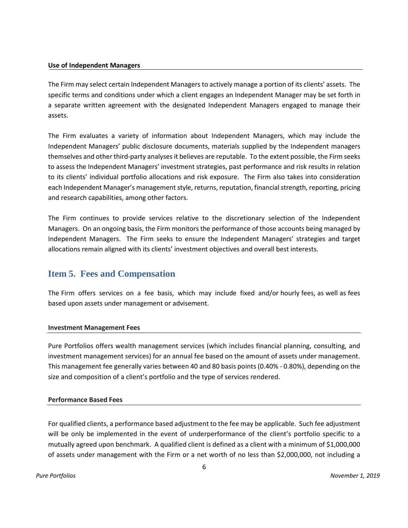#### **Use of Independent Managers**

The Firm may select certain Independent Managers to actively manage a portion of its clients' assets. The specific terms and conditions under which a client engages an Independent Manager may be set forth in a separate written agreement with the designated Independent Managers engaged to manage their assets.

The Firm evaluates a variety of information about Independent Managers, which may include the Independent Managers' public disclosure documents, materials supplied by the Independent managers themselves and other third-party analyses it believes are reputable. To the extent possible, the Firm seeks to assess the Independent Managers' investment strategies, past performance and risk results in relation to its clients' individual portfolio allocations and risk exposure. The Firm also takes into consideration each Independent Manager's management style, returns, reputation, financial strength, reporting, pricing and research capabilities, among other factors.

The Firm continues to provide services relative to the discretionary selection of the Independent Managers. On an ongoing basis, the Firm monitors the performance of those accounts being managed by Independent Managers. The Firm seeks to ensure the Independent Managers' strategies and target allocations remain aligned with its clients' investment objectives and overall best interests.

## <span id="page-5-0"></span>**Item 5. Fees and Compensation**

The Firm offers services on a fee basis, which may include fixed and/or hourly fees, as well as fees based upon assets under management or advisement.

#### **Investment Management Fees**

Pure Portfolios offers wealth management services (which includes financial planning, consulting, and investment management services) for an annual fee based on the amount of assets under management. This management fee generally varies between 40 and 80 basis points (0.40% - 0.80%), depending on the size and composition of a client's portfolio and the type of services rendered.

#### **Performance Based Fees**

For qualified clients, a performance based adjustment to the fee may be applicable. Such fee adjustment will be only be implemented in the event of underperformance of the client's portfolio specific to a mutually agreed upon benchmark. A qualified client is defined as a client with a minimum of \$1,000,000 of assets under management with the Firm or a net worth of no less than \$2,000,000, not including a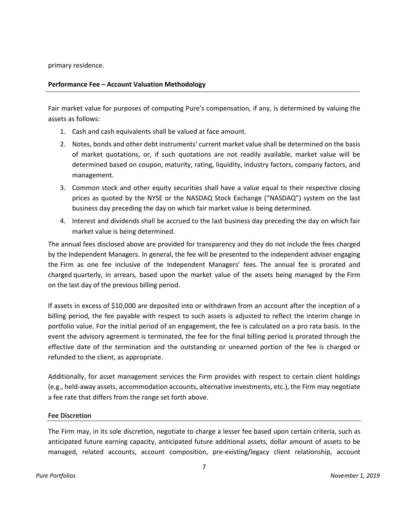primary residence.

### **Performance Fee – Account Valuation Methodology**

Fair market value for purposes of computing Pure's compensation, if any, is determined by valuing the assets as follows:

- 1. Cash and cash equivalents shall be valued at face amount.
- 2. Notes, bonds and other debt instruments' current market value shall be determined on the basis of market quotations, or, if such quotations are not readily available, market value will be determined based on coupon, maturity, rating, liquidity, industry factors, company factors, and management.
- 3. Common stock and other equity securities shall have a value equal to their respective closing prices as quoted by the NYSE or the NASDAQ Stock Exchange ("NASDAQ") system on the last business day preceding the day on which fair market value is being determined.
- 4. Interest and dividends shall be accrued to the last business day preceding the day on which fair market value is being determined.

The annual fees disclosed above are provided for transparency and they do not include the fees charged by the Independent Managers. In general, the fee will be presented to the independent adviser engaging the Firm as one fee inclusive of the Independent Managers' fees. The annual fee is prorated and charged quarterly, in arrears, based upon the market value of the assets being managed by the Firm on the last day of the previous billing period.

If assets in excess of \$10,000 are deposited into or withdrawn from an account after the inception of a billing period, the fee payable with respect to such assets is adjusted to reflect the interim change in portfolio value. For the initial period of an engagement, the fee is calculated on a pro rata basis. In the event the advisory agreement is terminated, the fee for the final billing period is prorated through the effective date of the termination and the outstanding or unearned portion of the fee is charged or refunded to the client, as appropriate.

Additionally, for asset management services the Firm provides with respect to certain client holdings (e.g., held-away assets, accommodation accounts, alternative investments, etc.), the Firm may negotiate a fee rate that differs from the range set forth above.

#### **Fee Discretion**

The Firm may, in its sole discretion, negotiate to charge a lesser fee based upon certain criteria, such as anticipated future earning capacity, anticipated future additional assets, dollar amount of assets to be managed, related accounts, account composition, pre-existing/legacy client relationship, account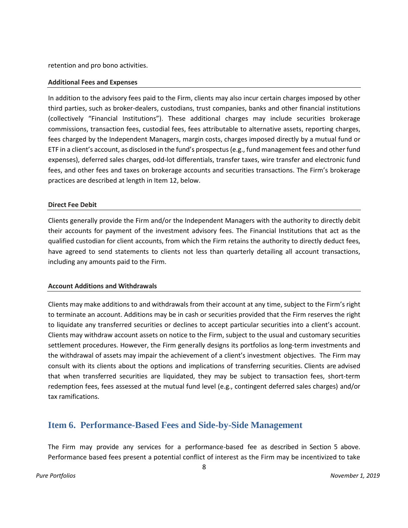retention and pro bono activities.

#### **Additional Fees and Expenses**

In addition to the advisory fees paid to the Firm, clients may also incur certain charges imposed by other third parties, such as broker-dealers, custodians, trust companies, banks and other financial institutions (collectively "Financial Institutions"). These additional charges may include securities brokerage commissions, transaction fees, custodial fees, fees attributable to alternative assets, reporting charges, fees charged by the Independent Managers, margin costs, charges imposed directly by a mutual fund or ETF in a client's account, as disclosed in the fund's prospectus (e.g., fund management fees and other fund expenses), deferred sales charges, odd-lot differentials, transfer taxes, wire transfer and electronic fund fees, and other fees and taxes on brokerage accounts and securities transactions. The Firm's brokerage practices are described at length in Item 12, below.

#### **Direct Fee Debit**

Clients generally provide the Firm and/or the Independent Managers with the authority to directly debit their accounts for payment of the investment advisory fees. The Financial Institutions that act as the qualified custodian for client accounts, from which the Firm retains the authority to directly deduct fees, have agreed to send statements to clients not less than quarterly detailing all account transactions, including any amounts paid to the Firm.

#### **Account Additions and Withdrawals**

Clients may make additions to and withdrawals from their account at any time, subject to the Firm's right to terminate an account. Additions may be in cash or securities provided that the Firm reserves the right to liquidate any transferred securities or declines to accept particular securities into a client's account. Clients may withdraw account assets on notice to the Firm, subject to the usual and customary securities settlement procedures. However, the Firm generally designs its portfolios as long-term investments and the withdrawal of assets may impair the achievement of a client's investment objectives. The Firm may consult with its clients about the options and implications of transferring securities. Clients are advised that when transferred securities are liquidated, they may be subject to transaction fees, short-term redemption fees, fees assessed at the mutual fund level (e.g., contingent deferred sales charges) and/or tax ramifications.

## <span id="page-7-0"></span>**Item 6. Performance-Based Fees and Side-by-Side Management**

The Firm may provide any services for a performance-based fee as described in Section 5 above. Performance based fees present a potential conflict of interest as the Firm may be incentivized to take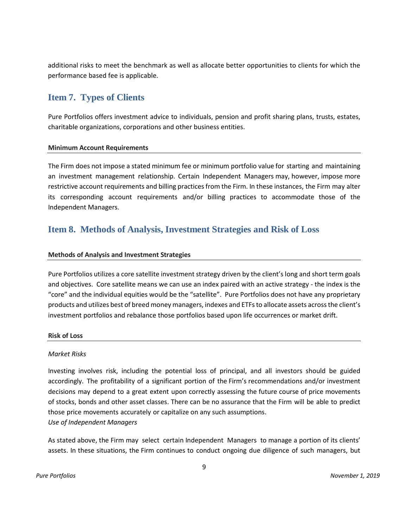additional risks to meet the benchmark as well as allocate better opportunities to clients for which the performance based fee is applicable.

## <span id="page-8-0"></span>**Item 7. Types of Clients**

Pure Portfolios offers investment advice to individuals, pension and profit sharing plans, trusts, estates, charitable organizations, corporations and other business entities.

#### **Minimum Account Requirements**

The Firm does not impose a stated minimum fee or minimum portfolio value for starting and maintaining an investment management relationship. Certain Independent Managers may, however, impose more restrictive account requirements and billing practices from the Firm. In these instances, the Firm may alter its corresponding account requirements and/or billing practices to accommodate those of the Independent Managers.

## <span id="page-8-1"></span>**Item 8. Methods of Analysis, Investment Strategies and Risk of Loss**

### **Methods of Analysis and Investment Strategies**

Pure Portfolios utilizes a core satellite investment strategy driven by the client's long and short term goals and objectives. Core satellite means we can use an index paired with an active strategy - the index is the "core" and the individual equities would be the "satellite". Pure Portfolios does not have any proprietary products and utilizes best of breed money managers, indexes and ETFs to allocate assets across the client's investment portfolios and rebalance those portfolios based upon life occurrences or market drift.

### **Risk of Loss**

#### *Market Risks*

Investing involves risk, including the potential loss of principal, and all investors should be guided accordingly. The profitability of a significant portion of the Firm's recommendations and/or investment decisions may depend to a great extent upon correctly assessing the future course of price movements of stocks, bonds and other asset classes. There can be no assurance that the Firm will be able to predict those price movements accurately or capitalize on any such assumptions. *Use of Independent Managers*

As stated above, the Firm may select certain Independent Managers to manage a portion of its clients' assets. In these situations, the Firm continues to conduct ongoing due diligence of such managers, but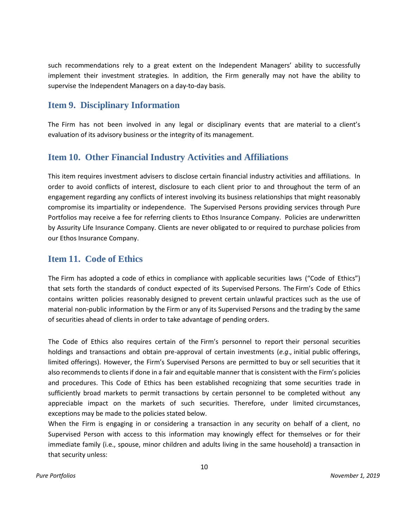such recommendations rely to a great extent on the Independent Managers' ability to successfully implement their investment strategies. In addition, the Firm generally may not have the ability to supervise the Independent Managers on a day-to-day basis.

## <span id="page-9-0"></span>**Item 9. Disciplinary Information**

The Firm has not been involved in any legal or disciplinary events that are material to a client's evaluation of its advisory business or the integrity of its management.

## <span id="page-9-1"></span>**Item 10. Other Financial Industry Activities and Affiliations**

This item requires investment advisers to disclose certain financial industry activities and affiliations. In order to avoid conflicts of interest, disclosure to each client prior to and throughout the term of an engagement regarding any conflicts of interest involving its business relationships that might reasonably compromise its impartiality or independence. The Supervised Persons providing services through Pure Portfolios may receive a fee for referring clients to Ethos Insurance Company. Policies are underwritten by Assurity Life Insurance Company. Clients are never obligated to or required to purchase policies from our Ethos Insurance Company.

## <span id="page-9-2"></span>**Item 11. Code of Ethics**

The Firm has adopted a code of ethics in compliance with applicable securities laws ("Code of Ethics") that sets forth the standards of conduct expected of its Supervised Persons. The Firm's Code of Ethics contains written policies reasonably designed to prevent certain unlawful practices such as the use of material non-public information by the Firm or any of its Supervised Persons and the trading by the same of securities ahead of clients in order to take advantage of pending orders.

The Code of Ethics also requires certain of the Firm's personnel to report their personal securities holdings and transactions and obtain pre-approval of certain investments (*e.g*., initial public offerings, limited offerings). However, the Firm's Supervised Persons are permitted to buy or sell securities that it also recommends to clients if done in a fair and equitable manner that is consistent with the Firm's policies and procedures. This Code of Ethics has been established recognizing that some securities trade in sufficiently broad markets to permit transactions by certain personnel to be completed without any appreciable impact on the markets of such securities. Therefore, under limited circumstances, exceptions may be made to the policies stated below.

When the Firm is engaging in or considering a transaction in any security on behalf of a client, no Supervised Person with access to this information may knowingly effect for themselves or for their immediate family (i.e., spouse, minor children and adults living in the same household) a transaction in that security unless: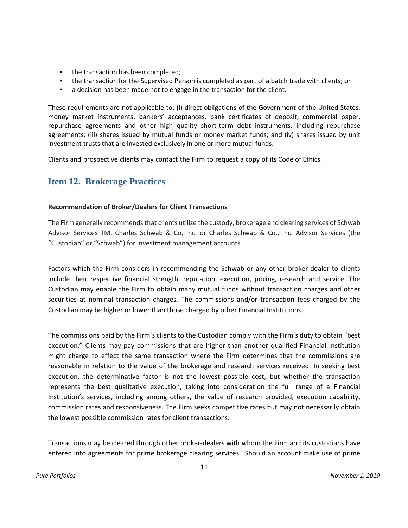- the transaction has been completed;
- the transaction for the Supervised Person is completed as part of a batch trade with clients; or
- a decision has been made not to engage in the transaction for the client.

These requirements are not applicable to: (i) direct obligations of the Government of the United States; money market instruments, bankers' acceptances, bank certificates of deposit, commercial paper, repurchase agreements and other high quality short-term debt instruments, including repurchase agreements; (iii) shares issued by mutual funds or money market funds; and (iv) shares issued by unit investment trusts that are invested exclusively in one or more mutual funds.

Clients and prospective clients may contact the Firm to request a copy of its Code of Ethics.

## <span id="page-10-0"></span>**Item 12. Brokerage Practices**

### **Recommendation of Broker/Dealers for Client Transactions**

The Firm generally recommends that clients utilize the custody, brokerage and clearing services of Schwab Advisor Services TM, Charles Schwab & Co, Inc. or Charles Schwab & Co., Inc. Advisor Services (the "Custodian" or "Schwab") for investment management accounts.

Factors which the Firm considers in recommending the Schwab or any other broker-dealer to clients include their respective financial strength, reputation, execution, pricing, research and service. The Custodian may enable the Firm to obtain many mutual funds without transaction charges and other securities at nominal transaction charges. The commissions and/or transaction fees charged by the Custodian may be higher or lower than those charged by other Financial Institutions.

The commissions paid by the Firm's clients to the Custodian comply with the Firm's duty to obtain "best execution." Clients may pay commissions that are higher than another qualified Financial Institution might charge to effect the same transaction where the Firm determines that the commissions are reasonable in relation to the value of the brokerage and research services received. In seeking best execution, the determinative factor is not the lowest possible cost, but whether the transaction represents the best qualitative execution, taking into consideration the full range of a Financial Institution's services, including among others, the value of research provided, execution capability, commission rates and responsiveness. The Firm seeks competitive rates but may not necessarily obtain the lowest possible commission rates for client transactions.

Transactions may be cleared through other broker-dealers with whom the Firm and its custodians have entered into agreements for prime brokerage clearing services. Should an account make use of prime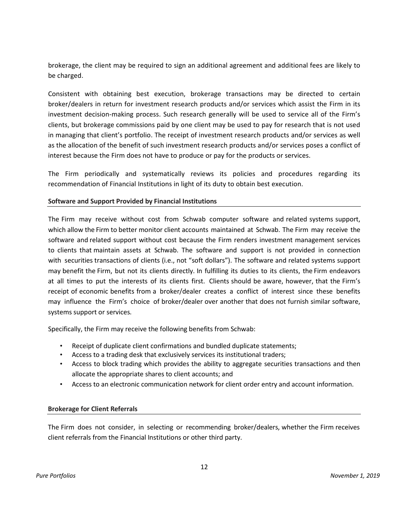brokerage, the client may be required to sign an additional agreement and additional fees are likely to be charged.

Consistent with obtaining best execution, brokerage transactions may be directed to certain broker/dealers in return for investment research products and/or services which assist the Firm in its investment decision-making process. Such research generally will be used to service all of the Firm's clients, but brokerage commissions paid by one client may be used to pay for research that is not used in managing that client's portfolio. The receipt of investment research products and/or services as well as the allocation of the benefit of such investment research products and/or services poses a conflict of interest because the Firm does not have to produce or pay for the products or services.

The Firm periodically and systematically reviews its policies and procedures regarding its recommendation of Financial Institutions in light of its duty to obtain best execution.

### **Software and Support Provided by Financial Institutions**

The Firm may receive without cost from Schwab computer software and related systems support, which allow the Firm to better monitor client accounts maintained at Schwab. The Firm may receive the software and related support without cost because the Firm renders investment management services to clients that maintain assets at Schwab. The software and support is not provided in connection with securities transactions of clients (i.e., not "soft dollars"). The software and related systems support may benefit the Firm, but not its clients directly. In fulfilling its duties to its clients, the Firm endeavors at all times to put the interests of its clients first. Clients should be aware, however, that the Firm's receipt of economic benefits from a broker/dealer creates a conflict of interest since these benefits may influence the Firm's choice of broker/dealer over another that does not furnish similar software, systems support or services.

Specifically, the Firm may receive the following benefits from Schwab:

- Receipt of duplicate client confirmations and bundled duplicate statements;
- Access to a trading desk that exclusively services its institutional traders;
- Access to block trading which provides the ability to aggregate securities transactions and then allocate the appropriate shares to client accounts; and
- Access to an electronic communication network for client order entry and account information.

## **Brokerage for Client Referrals**

The Firm does not consider, in selecting or recommending broker/dealers, whether the Firm receives client referrals from the Financial Institutions or other third party.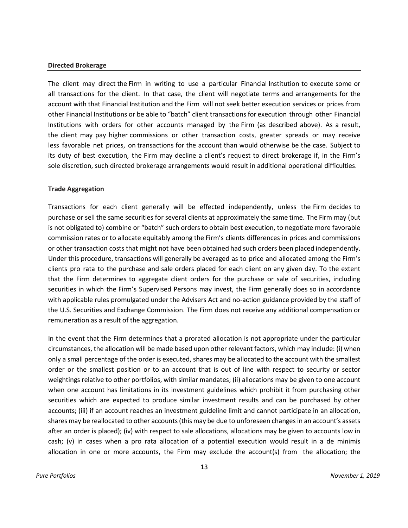#### **Directed Brokerage**

The client may direct the Firm in writing to use a particular Financial Institution to execute some or all transactions for the client. In that case, the client will negotiate terms and arrangements for the account with that Financial Institution and the Firm will not seek better execution services or prices from other Financial Institutions or be able to "batch" client transactions for execution through other Financial Institutions with orders for other accounts managed by the Firm (as described above). As a result, the client may pay higher commissions or other transaction costs, greater spreads or may receive less favorable net prices, on transactions for the account than would otherwise be the case. Subject to its duty of best execution, the Firm may decline a client's request to direct brokerage if, in the Firm's sole discretion, such directed brokerage arrangements would result in additional operational difficulties.

#### **Trade Aggregation**

Transactions for each client generally will be effected independently, unless the Firm decides to purchase or sell the same securities for several clients at approximately the same time. The Firm may (but is not obligated to) combine or "batch" such orders to obtain best execution, to negotiate more favorable commission rates or to allocate equitably among the Firm's clients differences in prices and commissions or other transaction costs that might not have been obtained had such orders been placed independently. Under this procedure, transactions will generally be averaged as to price and allocated among the Firm's clients pro rata to the purchase and sale orders placed for each client on any given day. To the extent that the Firm determines to aggregate client orders for the purchase or sale of securities, including securities in which the Firm's Supervised Persons may invest, the Firm generally does so in accordance with applicable rules promulgated under the Advisers Act and no-action guidance provided by the staff of the U.S. Securities and Exchange Commission. The Firm does not receive any additional compensation or remuneration as a result of the aggregation.

In the event that the Firm determines that a prorated allocation is not appropriate under the particular circumstances, the allocation will be made based upon other relevant factors, which may include: (i) when only a small percentage of the order is executed, shares may be allocated to the account with the smallest order or the smallest position or to an account that is out of line with respect to security or sector weightings relative to other portfolios, with similar mandates; (ii) allocations may be given to one account when one account has limitations in its investment guidelines which prohibit it from purchasing other securities which are expected to produce similar investment results and can be purchased by other accounts; (iii) if an account reaches an investment guideline limit and cannot participate in an allocation, shares may be reallocated to other accounts (this may be due to unforeseen changes in an account's assets after an order is placed); (iv) with respect to sale allocations, allocations may be given to accounts low in cash; (v) in cases when a pro rata allocation of a potential execution would result in a de minimis allocation in one or more accounts, the Firm may exclude the account(s) from the allocation; the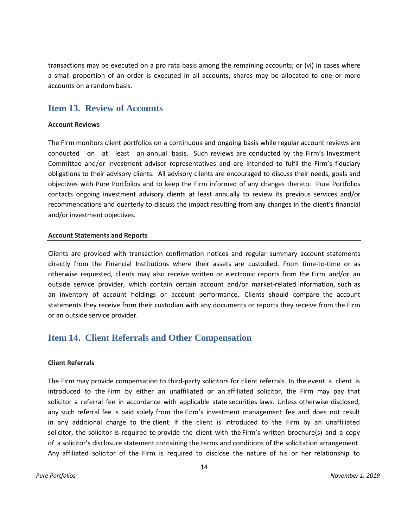transactions may be executed on a pro rata basis among the remaining accounts; or (vi) in cases where a small proportion of an order is executed in all accounts, shares may be allocated to one or more accounts on a random basis.

## <span id="page-13-0"></span>**Item 13. Review of Accounts**

#### **Account Reviews**

The Firm monitors client portfolios on a continuous and ongoing basis while regular account reviews are conducted on at least an annual basis. Such reviews are conducted by the Firm's Investment Committee and/or investment adviser representatives and are intended to fulfil the Firm's fiduciary obligations to their advisory clients. All advisory clients are encouraged to discuss their needs, goals and objectives with Pure Portfolios and to keep the Firm informed of any changes thereto. Pure Portfolios contacts ongoing investment advisory clients at least annually to review its previous services and/or recommendations and quarterly to discuss the impact resulting from any changes in the client's financial and/or investment objectives.

#### **Account Statements and Reports**

Clients are provided with transaction confirmation notices and regular summary account statements directly from the Financial Institutions where their assets are custodied. From time-to-time or as otherwise requested, clients may also receive written or electronic reports from the Firm and/or an outside service provider, which contain certain account and/or market-related information, such as an inventory of account holdings or account performance. Clients should compare the account statements they receive from their custodian with any documents or reports they receive from the Firm or an outside service provider.

## <span id="page-13-1"></span>**Item 14. Client Referrals and Other Compensation**

### **Client Referrals**

The Firm may provide compensation to third-party solicitors for client referrals. In the event a client is introduced to the Firm by either an unaffiliated or an affiliated solicitor, the Firm may pay that solicitor a referral fee in accordance with applicable state securities laws. Unless otherwise disclosed, any such referral fee is paid solely from the Firm's investment management fee and does not result in any additional charge to the client. If the client is introduced to the Firm by an unaffiliated solicitor, the solicitor is required to provide the client with the Firm's written brochure(s) and a copy of a solicitor's disclosure statement containing the terms and conditions of the solicitation arrangement. Any affiliated solicitor of the Firm is required to disclose the nature of his or her relationship to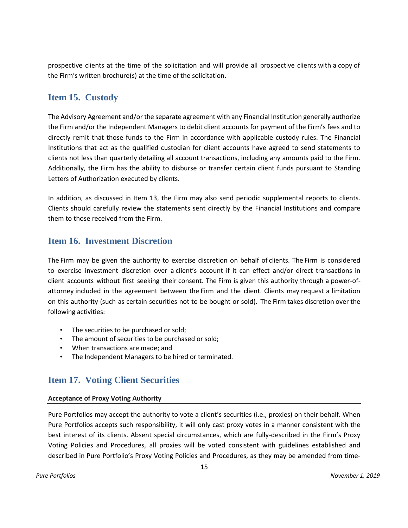prospective clients at the time of the solicitation and will provide all prospective clients with a copy of the Firm's written brochure(s) at the time of the solicitation.

## <span id="page-14-0"></span>**Item 15. Custody**

The Advisory Agreement and/or the separate agreement with any Financial Institution generally authorize the Firm and/or the Independent Managers to debit client accounts for payment of the Firm's fees and to directly remit that those funds to the Firm in accordance with applicable custody rules. The Financial Institutions that act as the qualified custodian for client accounts have agreed to send statements to clients not less than quarterly detailing all account transactions, including any amounts paid to the Firm. Additionally, the Firm has the ability to disburse or transfer certain client funds pursuant to Standing Letters of Authorization executed by clients.

In addition, as discussed in Item 13, the Firm may also send periodic supplemental reports to clients. Clients should carefully review the statements sent directly by the Financial Institutions and compare them to those received from the Firm.

## <span id="page-14-1"></span>**Item 16. Investment Discretion**

The Firm may be given the authority to exercise discretion on behalf of clients. The Firm is considered to exercise investment discretion over a client's account if it can effect and/or direct transactions in client accounts without first seeking their consent. The Firm is given this authority through a power-ofattorney included in the agreement between the Firm and the client. Clients may request a limitation on this authority (such as certain securities not to be bought or sold). The Firm takes discretion over the following activities:

- The securities to be purchased or sold;
- The amount of securities to be purchased or sold;
- When transactions are made; and
- The Independent Managers to be hired or terminated.

## <span id="page-14-2"></span>**Item 17. Voting Client Securities**

### **Acceptance of Proxy Voting Authority**

Pure Portfolios may accept the authority to vote a client's securities (i.e., proxies) on their behalf. When Pure Portfolios accepts such responsibility, it will only cast proxy votes in a manner consistent with the best interest of its clients. Absent special circumstances, which are fully-described in the Firm's Proxy Voting Policies and Procedures, all proxies will be voted consistent with guidelines established and described in Pure Portfolio's Proxy Voting Policies and Procedures, as they may be amended from time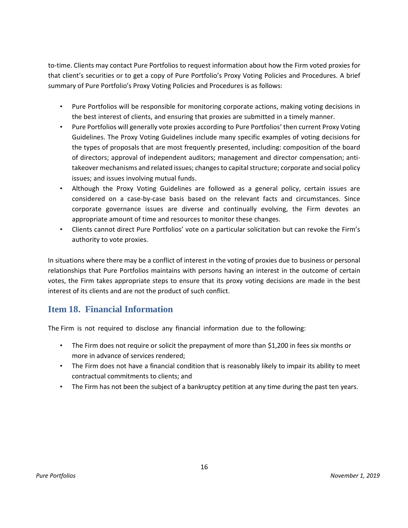to-time. Clients may contact Pure Portfolios to request information about how the Firm voted proxies for that client's securities or to get a copy of Pure Portfolio's Proxy Voting Policies and Procedures. A brief summary of Pure Portfolio's Proxy Voting Policies and Procedures is as follows:

- Pure Portfolios will be responsible for monitoring corporate actions, making voting decisions in the best interest of clients, and ensuring that proxies are submitted in a timely manner.
- Pure Portfolios will generally vote proxies according to Pure Portfolios' then current Proxy Voting Guidelines. The Proxy Voting Guidelines include many specific examples of voting decisions for the types of proposals that are most frequently presented, including: composition of the board of directors; approval of independent auditors; management and director compensation; antitakeover mechanisms and related issues; changes to capital structure; corporate and social policy issues; and issues involving mutual funds.
- Although the Proxy Voting Guidelines are followed as a general policy, certain issues are considered on a case-by-case basis based on the relevant facts and circumstances. Since corporate governance issues are diverse and continually evolving, the Firm devotes an appropriate amount of time and resources to monitor these changes.
- Clients cannot direct Pure Portfolios' vote on a particular solicitation but can revoke the Firm's authority to vote proxies.

In situations where there may be a conflict of interest in the voting of proxies due to business or personal relationships that Pure Portfolios maintains with persons having an interest in the outcome of certain votes, the Firm takes appropriate steps to ensure that its proxy voting decisions are made in the best interest of its clients and are not the product of such conflict.

## <span id="page-15-0"></span>**Item 18. Financial Information**

The Firm is not required to disclose any financial information due to the following:

- The Firm does not require or solicit the prepayment of more than \$1,200 in fees six months or more in advance of services rendered;
- The Firm does not have a financial condition that is reasonably likely to impair its ability to meet contractual commitments to clients; and
- The Firm has not been the subject of a bankruptcy petition at any time during the past ten years.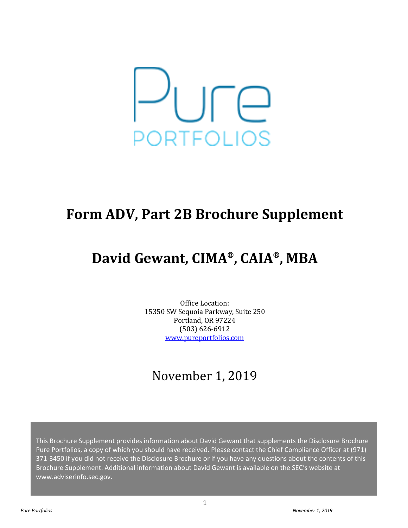

# **Form ADV, Part 2B Brochure Supplement**

# **David Gewant, CIMA® , CAIA®, MBA**

Office Location: 15350 SW Sequoia Parkway, Suite 250 Portland, OR 97224 (503) 626-6912 [www.pureportfolios.com](http://www.pureportfolios.com/)

## November 1, 2019

This Brochure Supplement provides information about David Gewant that supplements the Disclosure Brochure Pure Portfolios, a copy of which you should have received. Please contact the Chief Compliance Officer at (971) 371-3450 if you did not receive the Disclosure Brochure or if you have any questions about the contents of this Brochure Supplement. Additional information about David Gewant is available on the SEC's website at www.adviserinfo.sec.gov.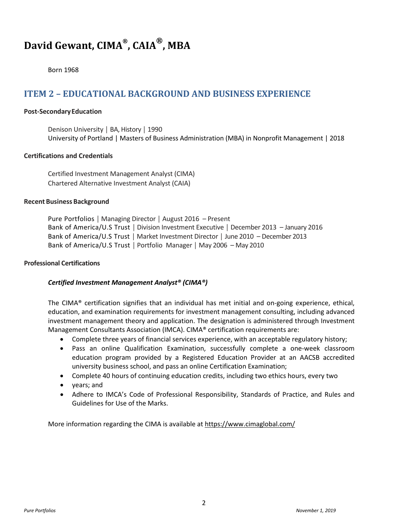## **David Gewant, CIMA® , CAIA®, MBA**

Born 1968

## **ITEM 2 – EDUCATIONAL BACKGROUND AND BUSINESS EXPERIENCE**

#### **Post-SecondaryEducation**

Denison University │ BA, History │ 1990 University of Portland | Masters of Business Administration (MBA) in Nonprofit Management | 2018

#### **Certifications and Credentials**

Certified Investment Management Analyst (CIMA) Chartered Alternative Investment Analyst (CAIA)

#### **Recent Business Background**

Pure Portfolios │ Managing Director │ August 2016 – Present Bank of America/U.S Trust │ Division Investment Executive │ December 2013 – January 2016 Bank of America/U.S Trust │ Market Investment Director │ June 2010 – December 2013 Bank of America/U.S Trust │ Portfolio Manager │ May 2006 – May 2010

#### **Professional Certifications**

### *Certified Investment Management Analyst® (CIMA®)*

The CIMA® certification signifies that an individual has met initial and on-going experience, ethical, education, and examination requirements for investment management consulting, including advanced investment management theory and application. The designation is administered through Investment Management Consultants Association (IMCA). CIMA® certification requirements are:

- Complete three years of financial services experience, with an acceptable regulatory history;
- Pass an online Qualification Examination, successfully complete a one-week classroom education program provided by a Registered Education Provider at an AACSB accredited university business school, and pass an online Certification Examination;
- Complete 40 hours of continuing education credits, including two ethics hours, every two
- years; and
- Adhere to IMCA's Code of Professional Responsibility, Standards of Practice, and Rules and Guidelines for Use of the Marks.

More information regarding the CIMA is available at<https://www.cimaglobal.com/>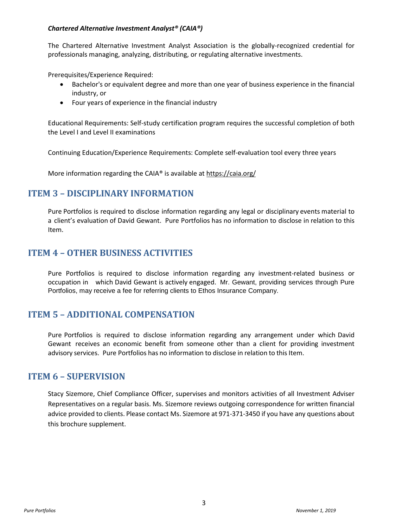### *Chartered Alternative Investment Analyst® (CAIA®)*

The Chartered Alternative Investment Analyst Association is the globally-recognized credential for professionals managing, analyzing, distributing, or regulating alternative investments.

Prerequisites/Experience Required:

- Bachelor's or equivalent degree and more than one year of business experience in the financial industry, or
- Four years of experience in the financial industry

Educational Requirements: Self-study certification program requires the successful completion of both the Level I and Level II examinations

Continuing Education/Experience Requirements: Complete self-evaluation tool every three years

More information regarding the CAIA® is available a[t https://caia.org/](https://caia.org/)

## **ITEM 3 – DISCIPLINARY INFORMATION**

Pure Portfolios is required to disclose information regarding any legal or disciplinary events material to a client's evaluation of David Gewant. Pure Portfolios has no information to disclose in relation to this Item.

## **ITEM 4 – OTHER BUSINESS ACTIVITIES**

Pure Portfolios is required to disclose information regarding any investment-related business or occupation in which David Gewant is actively engaged. Mr. Gewant, providing services through Pure Portfolios, may receive a fee for referring clients to Ethos Insurance Company.

## **ITEM 5 – ADDITIONAL COMPENSATION**

Pure Portfolios is required to disclose information regarding any arrangement under which David Gewant receives an economic benefit from someone other than a client for providing investment advisory services. Pure Portfolios has no information to disclose in relation to this Item.

## **ITEM 6 – SUPERVISION**

Stacy Sizemore, Chief Compliance Officer, supervises and monitors activities of all Investment Adviser Representatives on a regular basis. Ms. Sizemore reviews outgoing correspondence for written financial advice provided to clients. Please contact Ms. Sizemore at 971-371-3450 if you have any questions about this brochure supplement.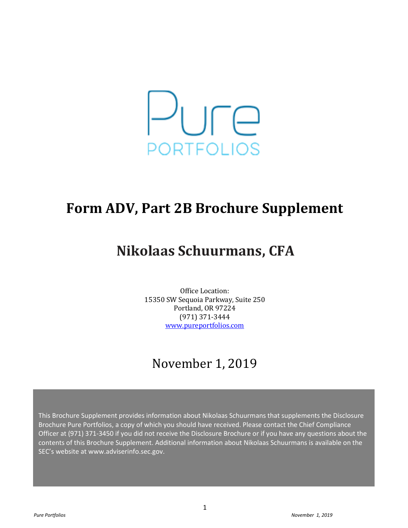

## **Form ADV, Part 2B Brochure Supplement**

# **Nikolaas Schuurmans, CFA**

Office Location: 15350 SW Sequoia Parkway, Suite 250 Portland, OR 97224 (971) 371-3444 [www.pureportfolios.com](http://www.pureportfolios.com/)

## November 1, 2019

This Brochure Supplement provides information about Nikolaas Schuurmans that supplements the Disclosure Brochure Pure Portfolios, a copy of which you should have received. Please contact the Chief Compliance Officer at (971) 371-3450 if you did not receive the Disclosure Brochure or if you have any questions about the contents of this Brochure Supplement. Additional information about Nikolaas Schuurmans is available on the SEC's website at www.adviserinfo.sec.gov.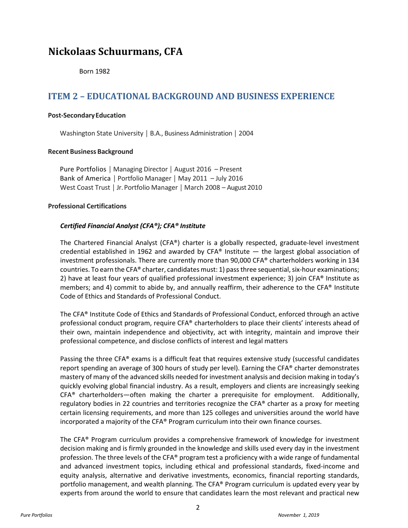## **Nickolaas Schuurmans, CFA**

Born 1982

## **ITEM 2 – EDUCATIONAL BACKGROUND AND BUSINESS EXPERIENCE**

#### **Post-SecondaryEducation**

Washington State University │ B.A., Business Administration │ 2004

### **Recent Business Background**

Pure Portfolios │ Managing Director │ August 2016 – Present Bank of America │ Portfolio Manager │ May 2011 – July 2016 West Coast Trust │ Jr.Portfolio Manager │ March 2008 – August 2010

### **Professional Certifications**

## *Certified Financial Analyst (CFA®); CFA® Institute*

The Chartered Financial Analyst (CFA®) charter is a globally respected, graduate-level investment credential established in 1962 and awarded by CFA® Institute  $-$  the largest global association of investment professionals. There are currently more than 90,000 CFA® charterholders working in 134 countries. To earn the CFA® charter, candidates must: 1) pass three sequential, six-hour examinations; 2) have at least four years of qualified professional investment experience; 3) join CFA® Institute as members; and 4) commit to abide by, and annually reaffirm, their adherence to the CFA® Institute Code of Ethics and Standards of Professional Conduct.

The CFA® Institute Code of Ethics and Standards of Professional Conduct, enforced through an active professional conduct program, require CFA® charterholders to place their clients' interests ahead of their own, maintain independence and objectivity, act with integrity, maintain and improve their professional competence, and disclose conflicts of interest and legal matters

Passing the three CFA® exams is a difficult feat that requires extensive study (successful candidates report spending an average of 300 hours of study per level). Earning the CFA® charter demonstrates mastery of many of the advanced skills needed for investment analysis and decision making in today's quickly evolving global financial industry. As a result, employers and clients are increasingly seeking  $CFA<sup>®</sup>$  charterholders—often making the charter a prerequisite for employment. Additionally, regulatory bodies in 22 countries and territories recognize the CFA® charter as a proxy for meeting certain licensing requirements, and more than 125 colleges and universities around the world have incorporated a majority of the CFA® Program curriculum into their own finance courses.

The CFA® Program curriculum provides a comprehensive framework of knowledge for investment decision making and is firmly grounded in the knowledge and skills used every day in the investment profession. The three levels of the CFA® program test a proficiency with a wide range of fundamental and advanced investment topics, including ethical and professional standards, fixed-income and equity analysis, alternative and derivative investments, economics, financial reporting standards, portfolio management, and wealth planning. The CFA® Program curriculum is updated every year by experts from around the world to ensure that candidates learn the most relevant and practical new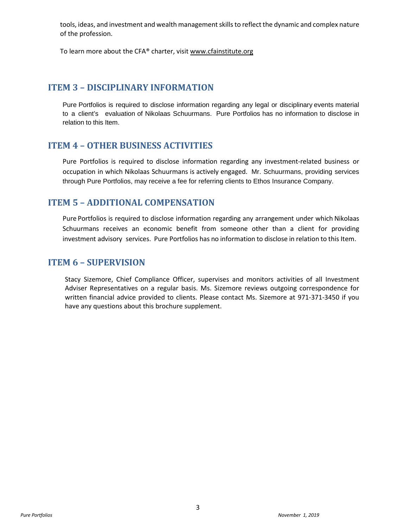tools, ideas, and investment and wealth management skills to reflect the dynamic and complex nature of the profession.

To learn more about the CFA® charter, visi[t www.cfainstitute.org](http://www.cfainstitute.org/)

## **ITEM 3 – DISCIPLINARY INFORMATION**

Pure Portfolios is required to disclose information regarding any legal or disciplinary events material to a client's evaluation of Nikolaas Schuurmans. Pure Portfolios has no information to disclose in relation to this Item.

## **ITEM 4 – OTHER BUSINESS ACTIVITIES**

Pure Portfolios is required to disclose information regarding any investment-related business or occupation in which Nikolaas Schuurmans is actively engaged. Mr. Schuurmans, providing services through Pure Portfolios, may receive a fee for referring clients to Ethos Insurance Company.

## **ITEM 5 – ADDITIONAL COMPENSATION**

Pure Portfolios is required to disclose information regarding any arrangement under which Nikolaas Schuurmans receives an economic benefit from someone other than a client for providing investment advisory services. Pure Portfolios has no information to disclose in relation to this Item.

## **ITEM 6 – SUPERVISION**

Stacy Sizemore, Chief Compliance Officer, supervises and monitors activities of all Investment Adviser Representatives on a regular basis. Ms. Sizemore reviews outgoing correspondence for written financial advice provided to clients. Please contact Ms. Sizemore at 971-371-3450 if you have any questions about this brochure supplement.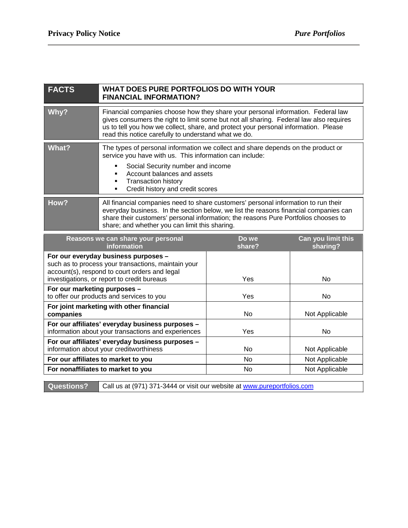| <b>FACTS</b>                 | WHAT DOES PURE PORTFOLIOS DO WITH YOUR<br><b>FINANCIAL INFORMATION?</b>                                                                                                                                                                                                                                                   |                 |                                |
|------------------------------|---------------------------------------------------------------------------------------------------------------------------------------------------------------------------------------------------------------------------------------------------------------------------------------------------------------------------|-----------------|--------------------------------|
| Why?                         | Financial companies choose how they share your personal information. Federal law<br>gives consumers the right to limit some but not all sharing. Federal law also requires<br>us to tell you how we collect, share, and protect your personal information. Please<br>read this notice carefully to understand what we do. |                 |                                |
| <b>What?</b>                 | The types of personal information we collect and share depends on the product or<br>service you have with us. This information can include:<br>Social Security number and income<br>Account balances and assets<br><b>Transaction history</b><br>Credit history and credit scores<br>٠                                    |                 |                                |
| How?                         | All financial companies need to share customers' personal information to run their<br>everyday business. In the section below, we list the reasons financial companies can<br>share their customers' personal information; the reasons Pure Portfolios chooses to<br>share; and whether you can limit this sharing.       |                 |                                |
|                              |                                                                                                                                                                                                                                                                                                                           |                 |                                |
|                              | Reasons we can share your personal<br>information                                                                                                                                                                                                                                                                         | Do we<br>share? | Can you limit this<br>sharing? |
|                              | For our everyday business purposes -<br>such as to process your transactions, maintain your<br>account(s), respond to court orders and legal<br>investigations, or report to credit bureaus                                                                                                                               | Yes             | <b>No</b>                      |
| For our marketing purposes - | to offer our products and services to you                                                                                                                                                                                                                                                                                 | Yes             | <b>No</b>                      |
| companies                    | For joint marketing with other financial                                                                                                                                                                                                                                                                                  | <b>No</b>       | Not Applicable                 |
|                              | For our affiliates' everyday business purposes -<br>information about your transactions and experiences                                                                                                                                                                                                                   | Yes             | <b>No</b>                      |
|                              | For our affiliates' everyday business purposes -<br>information about your creditworthiness                                                                                                                                                                                                                               | No              | Not Applicable                 |
|                              | For our affiliates to market to you                                                                                                                                                                                                                                                                                       | <b>No</b>       | Not Applicable                 |
|                              | For nonaffiliates to market to you                                                                                                                                                                                                                                                                                        | <b>No</b>       | Not Applicable                 |

**Questions?** Call us at (971) 371-3444 or visit our website at www.pureportfolios.com